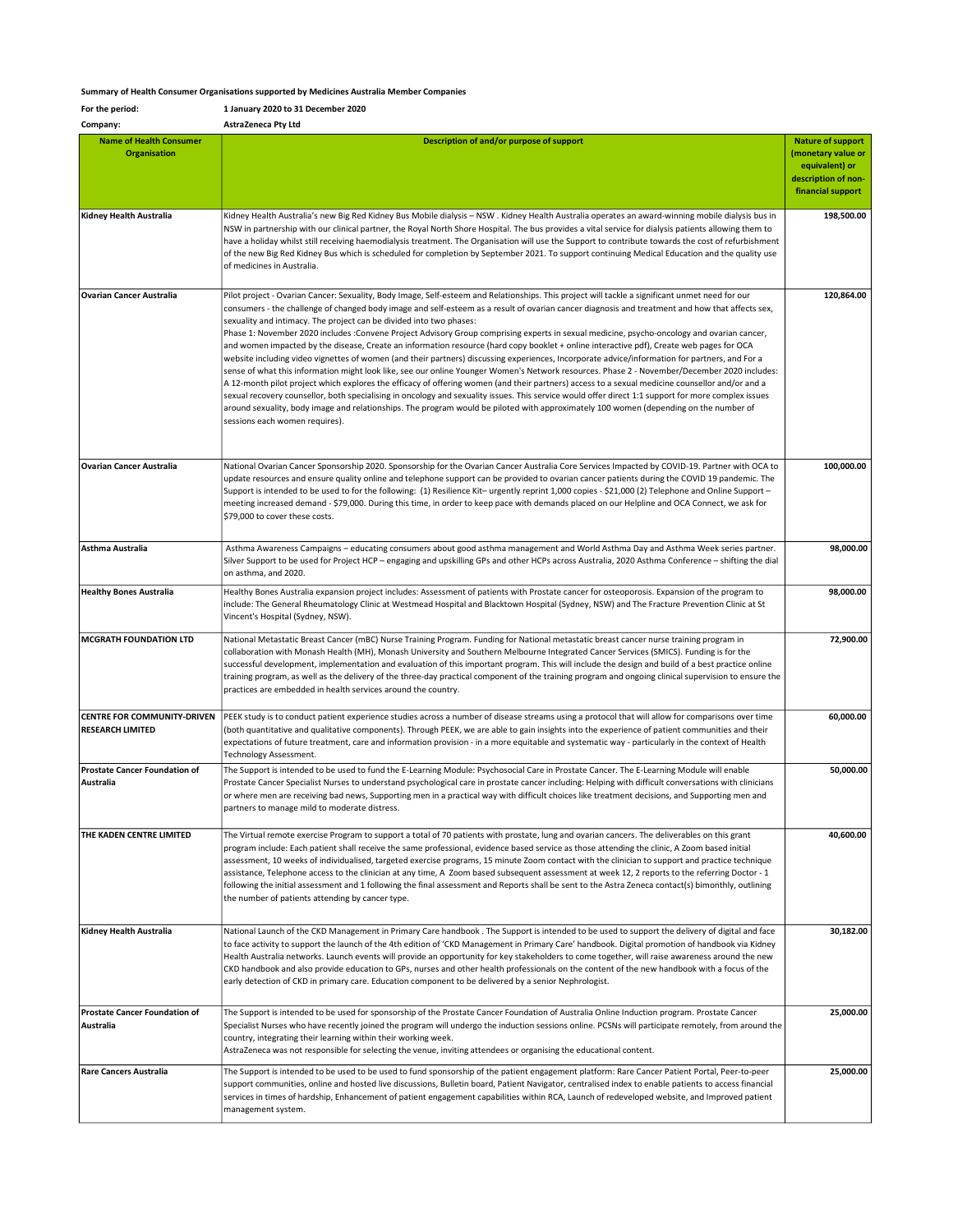## Summary of Health Consumer Organisations supported by Medicines Australia Member Companies

| For the period:                                               | 1 January 2020 to 31 December 2020                                                                                                                                                                                                                                                                                                                                                                                                                                                                                                                                                                                                                                                                                                                                                                                                                                                                                                                                                                                                                                                                                                                                                                                                                                                                                                                                                                                                                         |                                                                                                              |
|---------------------------------------------------------------|------------------------------------------------------------------------------------------------------------------------------------------------------------------------------------------------------------------------------------------------------------------------------------------------------------------------------------------------------------------------------------------------------------------------------------------------------------------------------------------------------------------------------------------------------------------------------------------------------------------------------------------------------------------------------------------------------------------------------------------------------------------------------------------------------------------------------------------------------------------------------------------------------------------------------------------------------------------------------------------------------------------------------------------------------------------------------------------------------------------------------------------------------------------------------------------------------------------------------------------------------------------------------------------------------------------------------------------------------------------------------------------------------------------------------------------------------------|--------------------------------------------------------------------------------------------------------------|
| Company:                                                      | AstraZeneca Pty Ltd                                                                                                                                                                                                                                                                                                                                                                                                                                                                                                                                                                                                                                                                                                                                                                                                                                                                                                                                                                                                                                                                                                                                                                                                                                                                                                                                                                                                                                        |                                                                                                              |
| <b>Name of Health Consumer</b><br><b>Organisation</b>         | Description of and/or purpose of support                                                                                                                                                                                                                                                                                                                                                                                                                                                                                                                                                                                                                                                                                                                                                                                                                                                                                                                                                                                                                                                                                                                                                                                                                                                                                                                                                                                                                   | <b>Nature of support</b><br>(monetary value or<br>equivalent) or<br>description of non-<br>financial support |
| Kidney Health Australia                                       | Kidney Health Australia's new Big Red Kidney Bus Mobile dialysis - NSW. Kidney Health Australia operates an award-winning mobile dialysis bus in<br>NSW in partnership with our clinical partner, the Royal North Shore Hospital. The bus provides a vital service for dialysis patients allowing them to<br>have a holiday whilst still receiving haemodialysis treatment. The Organisation will use the Support to contribute towards the cost of refurbishment<br>of the new Big Red Kidney Bus which is scheduled for completion by September 2021. To support continuing Medical Education and the quality use<br>of medicines in Australia.                                                                                                                                                                                                                                                                                                                                                                                                                                                                                                                                                                                                                                                                                                                                                                                                          | 198,500.00                                                                                                   |
| <b>Ovarian Cancer Australia</b>                               | Pilot project - Ovarian Cancer: Sexuality, Body Image, Self-esteem and Relationships. This project will tackle a significant unmet need for our<br>consumers - the challenge of changed body image and self-esteem as a result of ovarian cancer diagnosis and treatment and how that affects sex,<br>sexuality and intimacy. The project can be divided into two phases:<br>Phase 1: November 2020 includes :Convene Project Advisory Group comprising experts in sexual medicine, psycho-oncology and ovarian cancer,<br>and women impacted by the disease, Create an information resource (hard copy booklet + online interactive pdf), Create web pages for OCA<br>website including video vignettes of women (and their partners) discussing experiences, Incorporate advice/information for partners, and For a<br>sense of what this information might look like, see our online Younger Women's Network resources. Phase 2 - November/December 2020 includes:<br>A 12-month pilot project which explores the efficacy of offering women (and their partners) access to a sexual medicine counsellor and/or and a<br>sexual recovery counsellor, both specialising in oncology and sexuality issues. This service would offer direct 1:1 support for more complex issues<br>around sexuality, body image and relationships. The program would be piloted with approximately 100 women (depending on the number of<br>sessions each women requires). | 120,864.00                                                                                                   |
| <b>Ovarian Cancer Australia</b>                               | National Ovarian Cancer Sponsorship 2020. Sponsorship for the Ovarian Cancer Australia Core Services Impacted by COVID-19. Partner with OCA to<br>update resources and ensure quality online and telephone support can be provided to ovarian cancer patients during the COVID 19 pandemic. The<br>Support is intended to be used to for the following: (1) Resilience Kit- urgently reprint 1,000 copies - \$21,000 (2) Telephone and Online Support -<br>meeting increased demand - \$79,000. During this time, in order to keep pace with demands placed on our Helpline and OCA Connect, we ask for<br>\$79,000 to cover these costs.                                                                                                                                                                                                                                                                                                                                                                                                                                                                                                                                                                                                                                                                                                                                                                                                                  | 100.000.00                                                                                                   |
| Asthma Australia                                              | Asthma Awareness Campaigns - educating consumers about good asthma management and World Asthma Day and Asthma Week series partner.<br>Silver Support to be used for Project HCP - engaging and upskilling GPs and other HCPs across Australia, 2020 Asthma Conference - shifting the dial<br>on asthma, and 2020.                                                                                                                                                                                                                                                                                                                                                                                                                                                                                                                                                                                                                                                                                                                                                                                                                                                                                                                                                                                                                                                                                                                                          | 98,000.00                                                                                                    |
| <b>Healthy Bones Australia</b>                                | Healthy Bones Australia expansion project includes: Assessment of patients with Prostate cancer for osteoporosis. Expansion of the program to<br>include: The General Rheumatology Clinic at Westmead Hospital and Blacktown Hospital (Sydney, NSW) and The Fracture Prevention Clinic at St<br>Vincent's Hospital (Sydney, NSW).                                                                                                                                                                                                                                                                                                                                                                                                                                                                                                                                                                                                                                                                                                                                                                                                                                                                                                                                                                                                                                                                                                                          | 98,000.00                                                                                                    |
| <b>MCGRATH FOUNDATION LTD</b>                                 | National Metastatic Breast Cancer (mBC) Nurse Training Program. Funding for National metastatic breast cancer nurse training program in<br>collaboration with Monash Health (MH), Monash University and Southern Melbourne Integrated Cancer Services (SMICS). Funding is for the<br>successful development, implementation and evaluation of this important program. This will include the design and build of a best practice online<br>training program, as well as the delivery of the three-day practical component of the training program and ongoing clinical supervision to ensure the<br>practices are embedded in health services around the country.                                                                                                                                                                                                                                                                                                                                                                                                                                                                                                                                                                                                                                                                                                                                                                                           | 72,900.00                                                                                                    |
| <b>CENTRE FOR COMMUNITY-DRIVEN</b><br><b>RESEARCH LIMITED</b> | PEEK study is to conduct patient experience studies across a number of disease streams using a protocol that will allow for comparisons over time<br>(both quantitative and qualitative components). Through PEEK, we are able to gain insights into the experience of patient communities and their<br>expectations of future treatment, care and information provision - in a more equitable and systematic way - particularly in the context of Health<br>Technology Assessment.                                                                                                                                                                                                                                                                                                                                                                                                                                                                                                                                                                                                                                                                                                                                                                                                                                                                                                                                                                        | 60,000.00                                                                                                    |
| <b>Prostate Cancer Foundation of</b><br>Australia             | The Support is intended to be used to fund the E-Learning Module: Psychosocial Care in Prostate Cancer. The E-Learning Module will enable<br>Prostate Cancer Specialist Nurses to understand psychological care in prostate cancer including: Helping with difficult conversations with clinicians<br>or where men are receiving bad news, Supporting men in a practical way with difficult choices like treatment decisions, and Supporting men and<br>partners to manage mild to moderate distress.                                                                                                                                                                                                                                                                                                                                                                                                                                                                                                                                                                                                                                                                                                                                                                                                                                                                                                                                                      | 50,000.00                                                                                                    |
| THE KADEN CENTRE LIMITED                                      | The Virtual remote exercise Program to support a total of 70 patients with prostate, lung and ovarian cancers. The deliverables on this grant<br>program include: Each patient shall receive the same professional, evidence based service as those attending the clinic, A Zoom based initial<br>assessment, 10 weeks of individualised, targeted exercise programs, 15 minute Zoom contact with the clinician to support and practice technique<br>assistance, Telephone access to the clinician at any time, A Zoom based subsequent assessment at week 12, 2 reports to the referring Doctor - 1<br>following the initial assessment and 1 following the final assessment and Reports shall be sent to the Astra Zeneca contact(s) bimonthly, outlining<br>the number of patients attending by cancer type.                                                                                                                                                                                                                                                                                                                                                                                                                                                                                                                                                                                                                                            | 40,600.00                                                                                                    |
| Kidney Health Australia                                       | National Launch of the CKD Management in Primary Care handbook. The Support is intended to be used to support the delivery of digital and face<br>to face activity to support the launch of the 4th edition of 'CKD Management in Primary Care' handbook. Digital promotion of handbook via Kidney<br>Health Australia networks. Launch events will provide an opportunity for key stakeholders to come together, will raise awareness around the new<br>CKD handbook and also provide education to GPs, nurses and other health professionals on the content of the new handbook with a focus of the<br>early detection of CKD in primary care. Education component to be delivered by a senior Nephrologist.                                                                                                                                                                                                                                                                                                                                                                                                                                                                                                                                                                                                                                                                                                                                             | 30,182.00                                                                                                    |
| Prostate Cancer Foundation of<br>Australia                    | The Support is intended to be used for sponsorship of the Prostate Cancer Foundation of Australia Online Induction program. Prostate Cancer<br>Specialist Nurses who have recently joined the program will undergo the induction sessions online. PCSNs will participate remotely, from around the<br>country, integrating their learning within their working week.<br>AstraZeneca was not responsible for selecting the venue, inviting attendees or organising the educational content.                                                                                                                                                                                                                                                                                                                                                                                                                                                                                                                                                                                                                                                                                                                                                                                                                                                                                                                                                                 | 25,000.00                                                                                                    |
| <b>Rare Cancers Australia</b>                                 | The Support is intended to be used to be used to fund sponsorship of the patient engagement platform: Rare Cancer Patient Portal, Peer-to-peer<br>support communities, online and hosted live discussions, Bulletin board, Patient Navigator, centralised index to enable patients to access financial<br>services in times of hardship, Enhancement of patient engagement capabilities within RCA, Launch of redeveloped website, and Improved patient<br>management system.                                                                                                                                                                                                                                                                                                                                                                                                                                                                                                                                                                                                                                                                                                                                                                                                                                                                                                                                                                              | 25,000.00                                                                                                    |